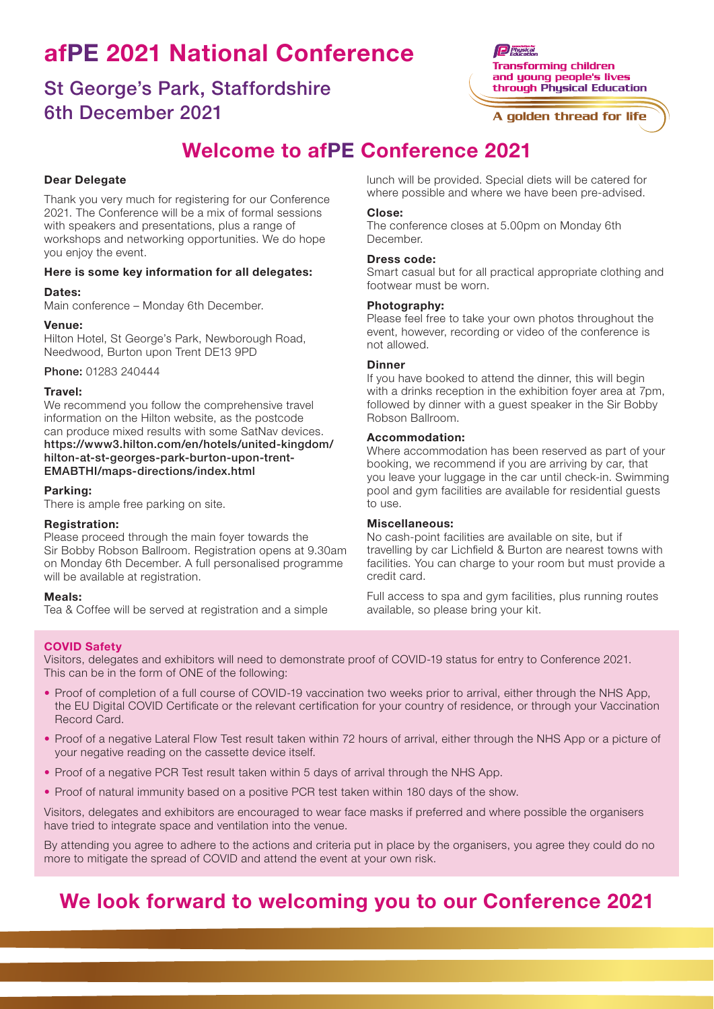# afPE 2021 National Conference

### St George's Park, Staffordshire 6th December 2021

Welcome to afPE Conference 2021

#### Dear Delegate

Thank you very much for registering for our Conference 2021. The Conference will be a mix of formal sessions with speakers and presentations, plus a range of workshops and networking opportunities. We do hope you enjoy the event.

#### Here is some key information for all delegates:

#### Dates:

Main conference – Monday 6th December.

#### Venue:

Hilton Hotel, St George's Park, Newborough Road, Needwood, Burton upon Trent DE13 9PD

Phone: 01283 240444

#### Travel:

We recommend you follow the comprehensive travel information on the Hilton website, as the postcode can produce mixed results with some SatNav devices. https://www3.hilton.com/en/hotels/united-kingdom/ hilton-at-st-georges-park-burton-upon-trent-EMABTHI/maps-directions/index.html

#### Parking:

There is ample free parking on site.

#### Registration:

Please proceed through the main foyer towards the Sir Bobby Robson Ballroom. Registration opens at 9.30am on Monday 6th December. A full personalised programme will be available at registration.

#### Meals:

Tea & Coffee will be served at registration and a simple

lunch will be provided. Special diets will be catered for where possible and where we have been pre-advised.

#### Close:

The conference closes at 5.00pm on Monday 6th December.

#### Dress code:

Smart casual but for all practical appropriate clothing and footwear must be worn.

#### Photography:

Please feel free to take your own photos throughout the event, however, recording or video of the conference is not allowed.

#### **Dinner**

If you have booked to attend the dinner, this will begin with a drinks reception in the exhibition foyer area at 7pm, followed by dinner with a guest speaker in the Sir Bobby Robson Ballroom.

#### Accommodation:

Where accommodation has been reserved as part of your booking, we recommend if you are arriving by car, that you leave your luggage in the car until check-in. Swimming pool and gym facilities are available for residential guests to use.

#### Miscellaneous:

No cash-point facilities are available on site, but if travelling by car Lichfield & Burton are nearest towns with facilities. You can charge to your room but must provide a credit card.

Full access to spa and gym facilities, plus running routes available, so please bring your kit.

#### COVID Safety

Visitors, delegates and exhibitors will need to demonstrate proof of COVID-19 status for entry to Conference 2021. This can be in the form of ONE of the following:

- Proof of completion of a full course of COVID-19 vaccination two weeks prior to arrival, either through the NHS App, the EU Digital COVID Certificate or the relevant certification for your country of residence, or through your Vaccination Record Card.
- Proof of a negative Lateral Flow Test result taken within 72 hours of arrival, either through the NHS App or a picture of your negative reading on the cassette device itself.
- Proof of a negative PCR Test result taken within 5 days of arrival through the NHS App.
- Proof of natural immunity based on a positive PCR test taken within 180 days of the show.

Visitors, delegates and exhibitors are encouraged to wear face masks if preferred and where possible the organisers have tried to integrate space and ventilation into the venue.

By attending you agree to adhere to the actions and criteria put in place by the organisers, you agree they could do no more to mitigate the spread of COVID and attend the event at your own risk.

### We look forward to welcoming you to our Conference 2021

**Physical Transforming children** and young people's lives through Phusical Education

A golden thread for life